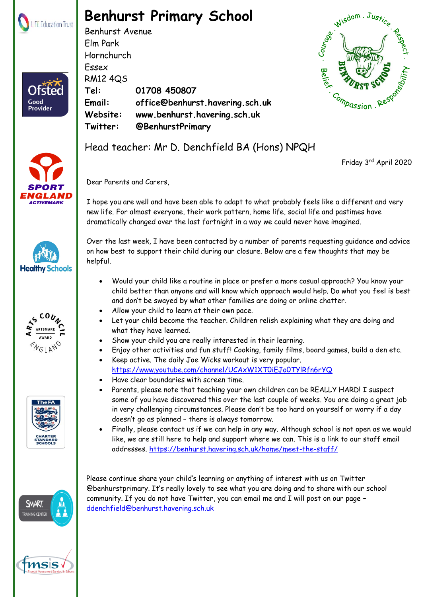

Ofster

Good **Provider** 

## **Benhurst Primary School**

Benhurst Avenue Elm Park Hornchurch Essex RM12 4QS **Tel: 01708 450807 Email: office@benhurst.havering.sch.uk Website: www.benhurst.havering.sch.uk Twitter: @BenhurstPrimary** Hornchurch<br>
Essex<br>
RM12 4Q5<br>
Tel: 01708 450807<br>
Email: office@benhurst.havering.sch.uk<br>
Website: www.benhurst.havering.sch.uk<br>
Twitter: @BenhurstPrimary<br>
Head teacher: Mr D. Denchfield BA (Hons) NPQH













Friday 3rd April 2020

Dear Parents and Carers,

I hope you are well and have been able to adapt to what probably feels like a different and very new life. For almost everyone, their work pattern, home life, social life and pastimes have dramatically changed over the last fortnight in a way we could never have imagined.

Over the last week, I have been contacted by a number of parents requesting guidance and advice on how best to support their child during our closure. Below are a few thoughts that may be helpful.

- Would your child like a routine in place or prefer a more casual approach? You know your child better than anyone and will know which approach would help. Do what you feel is best and don't be swayed by what other families are doing or online chatter.
- Allow your child to learn at their own pace.
- Let your child become the teacher. Children relish explaining what they are doing and what they have learned.
- Show your child you are really interested in their learning.
- Enjoy other activities and fun stuff! Cooking, family films, board games, build a den etc.
- Keep active. The daily Joe Wicks workout is very popular. <https://www.youtube.com/channel/UCAxW1XT0iEJo0TYlRfn6rYQ>
- Have clear boundaries with screen time.
- Parents, please note that teaching your own children can be REALLY HARD! I suspect some of you have discovered this over the last couple of weeks. You are doing a great job in very challenging circumstances. Please don't be too hard on yourself or worry if a day doesn't go as planned – there is always tomorrow.
- Finally, please contact us if we can help in any way. Although school is not open as we would like, we are still here to help and support where we can. This is a link to our staff email addresses.<https://benhurst.havering.sch.uk/home/meet-the-staff/>

Please continue share your child's learning or anything of interest with us on Twitter @benhurstprimary. It's really lovely to see what you are doing and to share with our school community. If you do not have Twitter, you can email me and I will post on our page – [ddenchfield@benhurst.havering.sch.uk](mailto:ddenchfield@benhurst.havering.sch.uk)